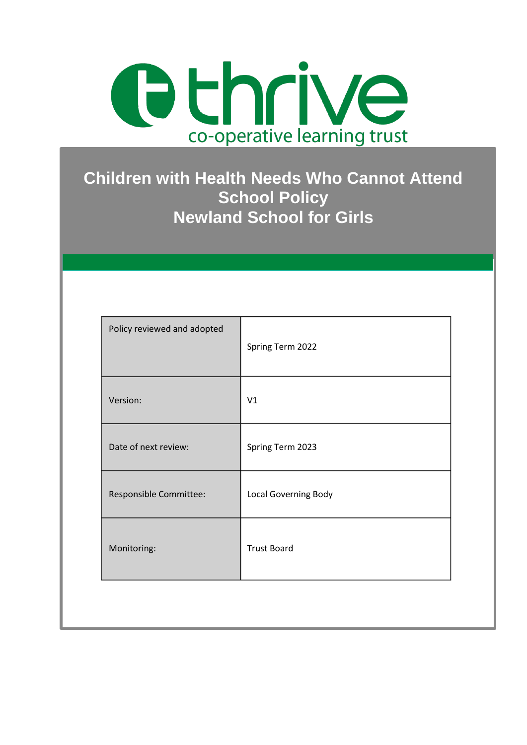

# **Children with Health Needs Who Cannot Attend School Policy Newland School for Girls**

| V1                   |
|----------------------|
| Spring Term 2023     |
| Local Governing Body |
| <b>Trust Board</b>   |
|                      |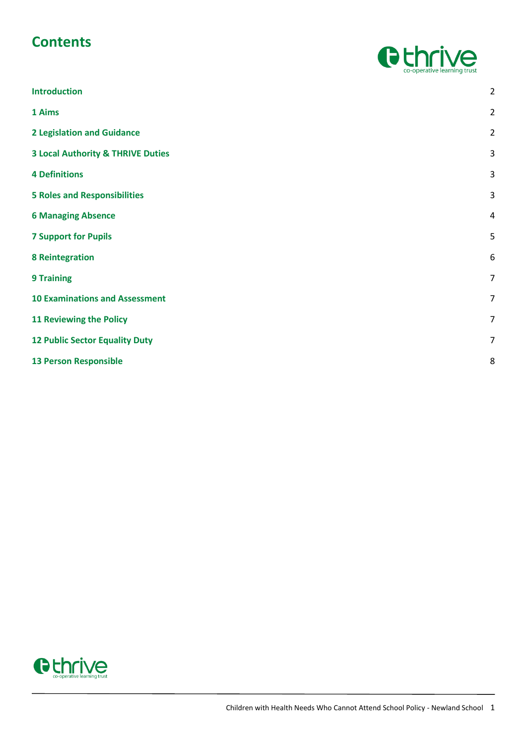# **Contents**



| <b>Introduction</b>                          | $\overline{2}$ |
|----------------------------------------------|----------------|
| 1 Aims                                       | $\overline{2}$ |
| <b>2 Legislation and Guidance</b>            | $\overline{2}$ |
| <b>3 Local Authority &amp; THRIVE Duties</b> | $\mathsf{3}$   |
| <b>4 Definitions</b>                         | 3              |
| <b>5 Roles and Responsibilities</b>          | $\mathsf{3}$   |
| <b>6 Managing Absence</b>                    | $\overline{4}$ |
| <b>7 Support for Pupils</b>                  | 5              |
| <b>8 Reintegration</b>                       | 6              |
| <b>9 Training</b>                            | $\overline{7}$ |
| <b>10 Examinations and Assessment</b>        | $\overline{7}$ |
| <b>11 Reviewing the Policy</b>               | $\overline{7}$ |
| <b>12 Public Sector Equality Duty</b>        | $\overline{7}$ |
| <b>13 Person Responsible</b>                 | 8              |
|                                              |                |

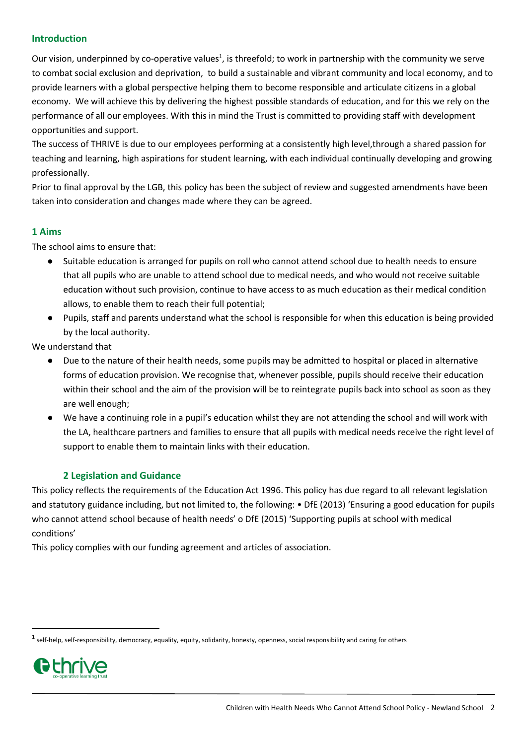#### <span id="page-2-0"></span>**Introduction**

Our vision, underpinned by co-operative values<sup>1</sup>, is threefold; to work in partnership with the community we serve to combat social exclusion and deprivation, to build a sustainable and vibrant community and local economy, and to provide learners with a global perspective helping them to become responsible and articulate citizens in a global economy. We will achieve this by delivering the highest possible standards of education, and for this we rely on the performance of all our employees. With this in mind the Trust is committed to providing staff with development opportunities and support.

The success of THRIVE is due to our employees performing at a consistently high level,through a shared passion for teaching and learning, high aspirations for student learning, with each individual continually developing and growing professionally.

Prior to final approval by the LGB, this policy has been the subject of review and suggested amendments have been taken into consideration and changes made where they can be agreed.

#### <span id="page-2-1"></span>**1 Aims**

The school aims to ensure that:

- Suitable education is arranged for pupils on roll who cannot attend school due to health needs to ensure that all pupils who are unable to attend school due to medical needs, and who would not receive suitable education without such provision, continue to have access to as much education as their medical condition allows, to enable them to reach their full potential;
- Pupils, staff and parents understand what the school is responsible for when this education is being provided by the local authority.

We understand that

- Due to the nature of their health needs, some pupils may be admitted to hospital or placed in alternative forms of education provision. We recognise that, whenever possible, pupils should receive their education within their school and the aim of the provision will be to reintegrate pupils back into school as soon as they are well enough;
- We have a continuing role in a pupil's education whilst they are not attending the school and will work with the LA, healthcare partners and families to ensure that all pupils with medical needs receive the right level of support to enable them to maintain links with their education.

#### **2 Legislation and Guidance**

<span id="page-2-2"></span>This policy reflects the requirements of the Education Act 1996. This policy has due regard to all relevant legislation and statutory guidance including, but not limited to, the following: • DfE (2013) 'Ensuring a good education for pupils who cannot attend school because of health needs' o DfE (2015) 'Supporting pupils at school with medical conditions'

This policy complies with our funding agreement and articles of association.

 $^1$  self-help, self-responsibility, democracy, equality, equity, solidarity, honesty, openness, social responsibility and caring for others



1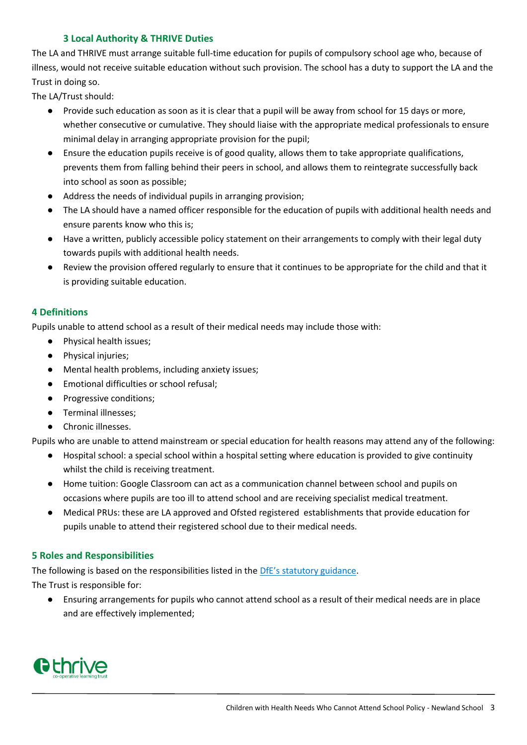### **3 Local Authority & THRIVE Duties**

<span id="page-3-0"></span>The LA and THRIVE must arrange suitable full-time education for pupils of compulsory school age who, because of illness, would not receive suitable education without such provision. The school has a duty to support the LA and the Trust in doing so.

The LA/Trust should:

- Provide such education as soon as it is clear that a pupil will be away from school for 15 days or more, whether consecutive or cumulative. They should liaise with the appropriate medical professionals to ensure minimal delay in arranging appropriate provision for the pupil;
- Ensure the education pupils receive is of good quality, allows them to take appropriate qualifications, prevents them from falling behind their peers in school, and allows them to reintegrate successfully back into school as soon as possible;
- Address the needs of individual pupils in arranging provision;
- The LA should have a named officer responsible for the education of pupils with additional health needs and ensure parents know who this is;
- Have a written, publicly accessible policy statement on their arrangements to comply with their legal duty towards pupils with additional health needs.
- Review the provision offered regularly to ensure that it continues to be appropriate for the child and that it is providing suitable education.

#### <span id="page-3-1"></span>**4 Definitions**

Pupils unable to attend school as a result of their medical needs may include those with:

- Physical health issues;
- Physical injuries;
- Mental health problems, including anxiety issues;
- Emotional difficulties or school refusal;
- Progressive conditions;
- Terminal illnesses;
- Chronic illnesses.

Pupils who are unable to attend mainstream or special education for health reasons may attend any of the following:

- Hospital school: a special school within a hospital setting where education is provided to give continuity whilst the child is receiving treatment.
- Home tuition: Google Classroom can act as a communication channel between school and pupils on occasions where pupils are too ill to attend school and are receiving specialist medical treatment.
- Medical PRUs: these are LA approved and Ofsted registered establishments that provide education for pupils unable to attend their registered school due to their medical needs.

#### <span id="page-3-2"></span>**5 Roles and Responsibilities**

The following is based on the responsibilities listed in the [DfE's statutory guidance](https://www.gov.uk/government/publications/designated-teacher-for-looked-after-children).

The Trust is responsible for:

● Ensuring arrangements for pupils who cannot attend school as a result of their medical needs are in place and are effectively implemented;

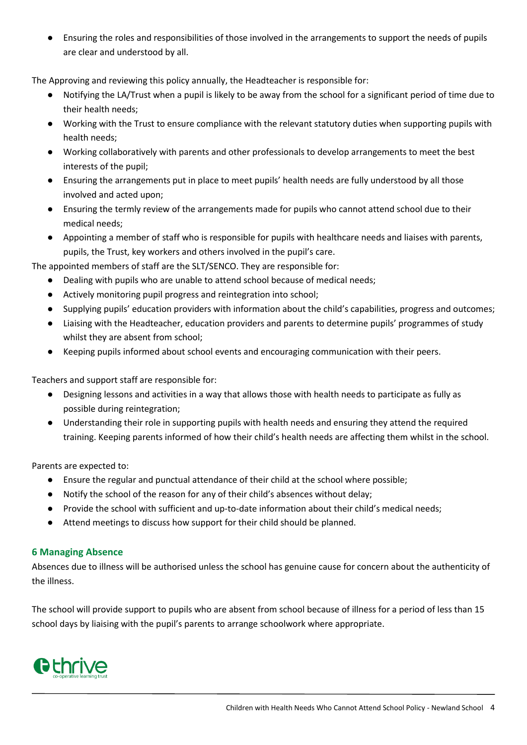● Ensuring the roles and responsibilities of those involved in the arrangements to support the needs of pupils are clear and understood by all.

The Approving and reviewing this policy annually, the Headteacher is responsible for:

- Notifying the LA/Trust when a pupil is likely to be away from the school for a significant period of time due to their health needs;
- Working with the Trust to ensure compliance with the relevant statutory duties when supporting pupils with health needs;
- Working collaboratively with parents and other professionals to develop arrangements to meet the best interests of the pupil;
- Ensuring the arrangements put in place to meet pupils' health needs are fully understood by all those involved and acted upon;
- Ensuring the termly review of the arrangements made for pupils who cannot attend school due to their medical needs;
- Appointing a member of staff who is responsible for pupils with healthcare needs and liaises with parents, pupils, the Trust, key workers and others involved in the pupil's care.

The appointed members of staff are the SLT/SENCO. They are responsible for:

- Dealing with pupils who are unable to attend school because of medical needs;
- Actively monitoring pupil progress and reintegration into school;
- Supplying pupils' education providers with information about the child's capabilities, progress and outcomes;
- Liaising with the Headteacher, education providers and parents to determine pupils' programmes of study whilst they are absent from school;
- Keeping pupils informed about school events and encouraging communication with their peers.

Teachers and support staff are responsible for:

- Designing lessons and activities in a way that allows those with health needs to participate as fully as possible during reintegration;
- Understanding their role in supporting pupils with health needs and ensuring they attend the required training. Keeping parents informed of how their child's health needs are affecting them whilst in the school.

Parents are expected to:

- Ensure the regular and punctual attendance of their child at the school where possible;
- Notify the school of the reason for any of their child's absences without delay;
- Provide the school with sufficient and up-to-date information about their child's medical needs;
- Attend meetings to discuss how support for their child should be planned.

#### <span id="page-4-0"></span>**6 Managing Absence**

Absences due to illness will be authorised unless the school has genuine cause for concern about the authenticity of the illness.

The school will provide support to pupils who are absent from school because of illness for a period of less than 15 school days by liaising with the pupil's parents to arrange schoolwork where appropriate.

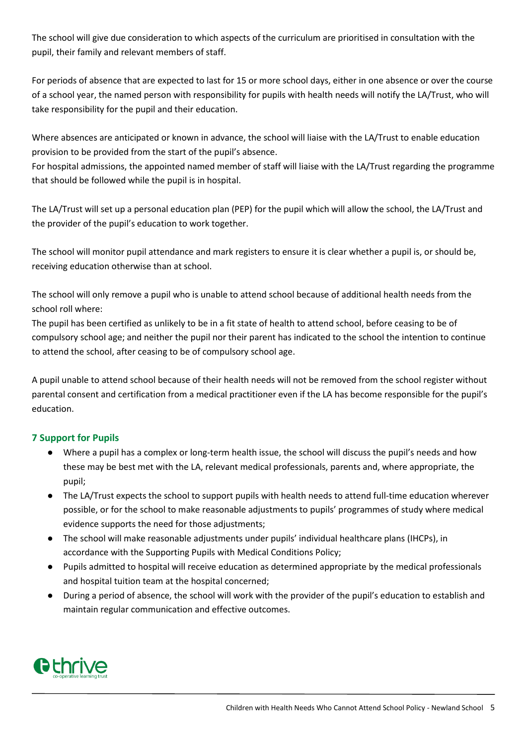The school will give due consideration to which aspects of the curriculum are prioritised in consultation with the pupil, their family and relevant members of staff.

For periods of absence that are expected to last for 15 or more school days, either in one absence or over the course of a school year, the named person with responsibility for pupils with health needs will notify the LA/Trust, who will take responsibility for the pupil and their education.

Where absences are anticipated or known in advance, the school will liaise with the LA/Trust to enable education provision to be provided from the start of the pupil's absence.

For hospital admissions, the appointed named member of staff will liaise with the LA/Trust regarding the programme that should be followed while the pupil is in hospital.

The LA/Trust will set up a personal education plan (PEP) for the pupil which will allow the school, the LA/Trust and the provider of the pupil's education to work together.

The school will monitor pupil attendance and mark registers to ensure it is clear whether a pupil is, or should be, receiving education otherwise than at school.

The school will only remove a pupil who is unable to attend school because of additional health needs from the school roll where:

The pupil has been certified as unlikely to be in a fit state of health to attend school, before ceasing to be of compulsory school age; and neither the pupil nor their parent has indicated to the school the intention to continue to attend the school, after ceasing to be of compulsory school age.

A pupil unable to attend school because of their health needs will not be removed from the school register without parental consent and certification from a medical practitioner even if the LA has become responsible for the pupil's education.

## <span id="page-5-0"></span>**7 Support for Pupils**

- Where a pupil has a complex or long-term health issue, the school will discuss the pupil's needs and how these may be best met with the LA, relevant medical professionals, parents and, where appropriate, the pupil;
- The LA/Trust expects the school to support pupils with health needs to attend full-time education wherever possible, or for the school to make reasonable adjustments to pupils' programmes of study where medical evidence supports the need for those adjustments;
- The school will make reasonable adjustments under pupils' individual healthcare plans (IHCPs), in accordance with the Supporting Pupils with Medical Conditions Policy;
- Pupils admitted to hospital will receive education as determined appropriate by the medical professionals and hospital tuition team at the hospital concerned;
- During a period of absence, the school will work with the provider of the pupil's education to establish and maintain regular communication and effective outcomes.

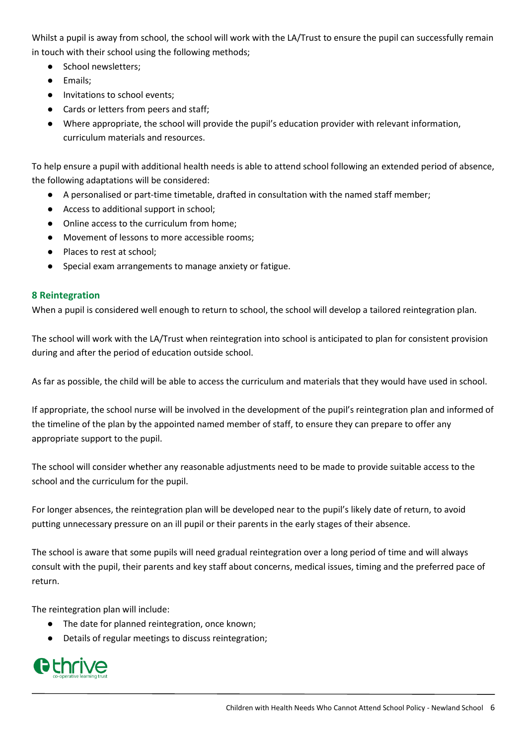Whilst a pupil is away from school, the school will work with the LA/Trust to ensure the pupil can successfully remain in touch with their school using the following methods;

- School newsletters;
- Emails;
- Invitations to school events;
- Cards or letters from peers and staff:
- Where appropriate, the school will provide the pupil's education provider with relevant information, curriculum materials and resources.

To help ensure a pupil with additional health needs is able to attend school following an extended period of absence, the following adaptations will be considered:

- A personalised or part-time timetable, drafted in consultation with the named staff member;
- Access to additional support in school;
- Online access to the curriculum from home;
- Movement of lessons to more accessible rooms;
- Places to rest at school:
- Special exam arrangements to manage anxiety or fatigue.

#### <span id="page-6-0"></span>**8 Reintegration**

When a pupil is considered well enough to return to school, the school will develop a tailored reintegration plan.

The school will work with the LA/Trust when reintegration into school is anticipated to plan for consistent provision during and after the period of education outside school.

As far as possible, the child will be able to access the curriculum and materials that they would have used in school.

If appropriate, the school nurse will be involved in the development of the pupil's reintegration plan and informed of the timeline of the plan by the appointed named member of staff, to ensure they can prepare to offer any appropriate support to the pupil.

The school will consider whether any reasonable adjustments need to be made to provide suitable access to the school and the curriculum for the pupil.

For longer absences, the reintegration plan will be developed near to the pupil's likely date of return, to avoid putting unnecessary pressure on an ill pupil or their parents in the early stages of their absence.

The school is aware that some pupils will need gradual reintegration over a long period of time and will always consult with the pupil, their parents and key staff about concerns, medical issues, timing and the preferred pace of return.

The reintegration plan will include:

- The date for planned reintegration, once known;
- Details of regular meetings to discuss reintegration;

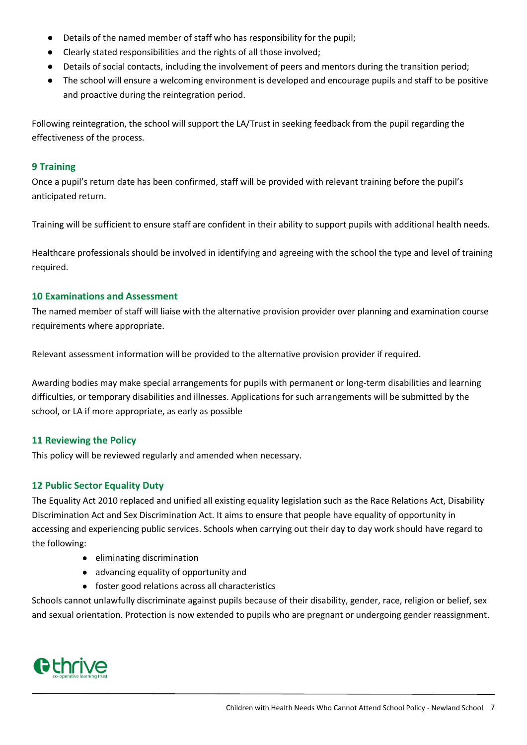- Details of the named member of staff who has responsibility for the pupil;
- Clearly stated responsibilities and the rights of all those involved;
- Details of social contacts, including the involvement of peers and mentors during the transition period;
- The school will ensure a welcoming environment is developed and encourage pupils and staff to be positive and proactive during the reintegration period.

Following reintegration, the school will support the LA/Trust in seeking feedback from the pupil regarding the effectiveness of the process.

#### <span id="page-7-0"></span>**9 Training**

Once a pupil's return date has been confirmed, staff will be provided with relevant training before the pupil's anticipated return.

Training will be sufficient to ensure staff are confident in their ability to support pupils with additional health needs.

Healthcare professionals should be involved in identifying and agreeing with the school the type and level of training required.

#### <span id="page-7-1"></span>**10 Examinations and Assessment**

The named member of staff will liaise with the alternative provision provider over planning and examination course requirements where appropriate.

Relevant assessment information will be provided to the alternative provision provider if required.

Awarding bodies may make special arrangements for pupils with permanent or long-term disabilities and learning difficulties, or temporary disabilities and illnesses. Applications for such arrangements will be submitted by the school, or LA if more appropriate, as early as possible

#### <span id="page-7-2"></span>**11 Reviewing the Policy**

This policy will be reviewed regularly and amended when necessary.

#### <span id="page-7-3"></span>**12 Public Sector Equality Duty**

The Equality Act 2010 replaced and unified all existing equality legislation such as the Race Relations Act, Disability Discrimination Act and Sex Discrimination Act. It aims to ensure that people have equality of opportunity in accessing and experiencing public services. Schools when carrying out their day to day work should have regard to the following:

- eliminating discrimination
- advancing equality of opportunity and
- foster good relations across all characteristics

Schools cannot unlawfully discriminate against pupils because of their disability, gender, race, religion or belief, sex and sexual orientation. Protection is now extended to pupils who are pregnant or undergoing gender reassignment.